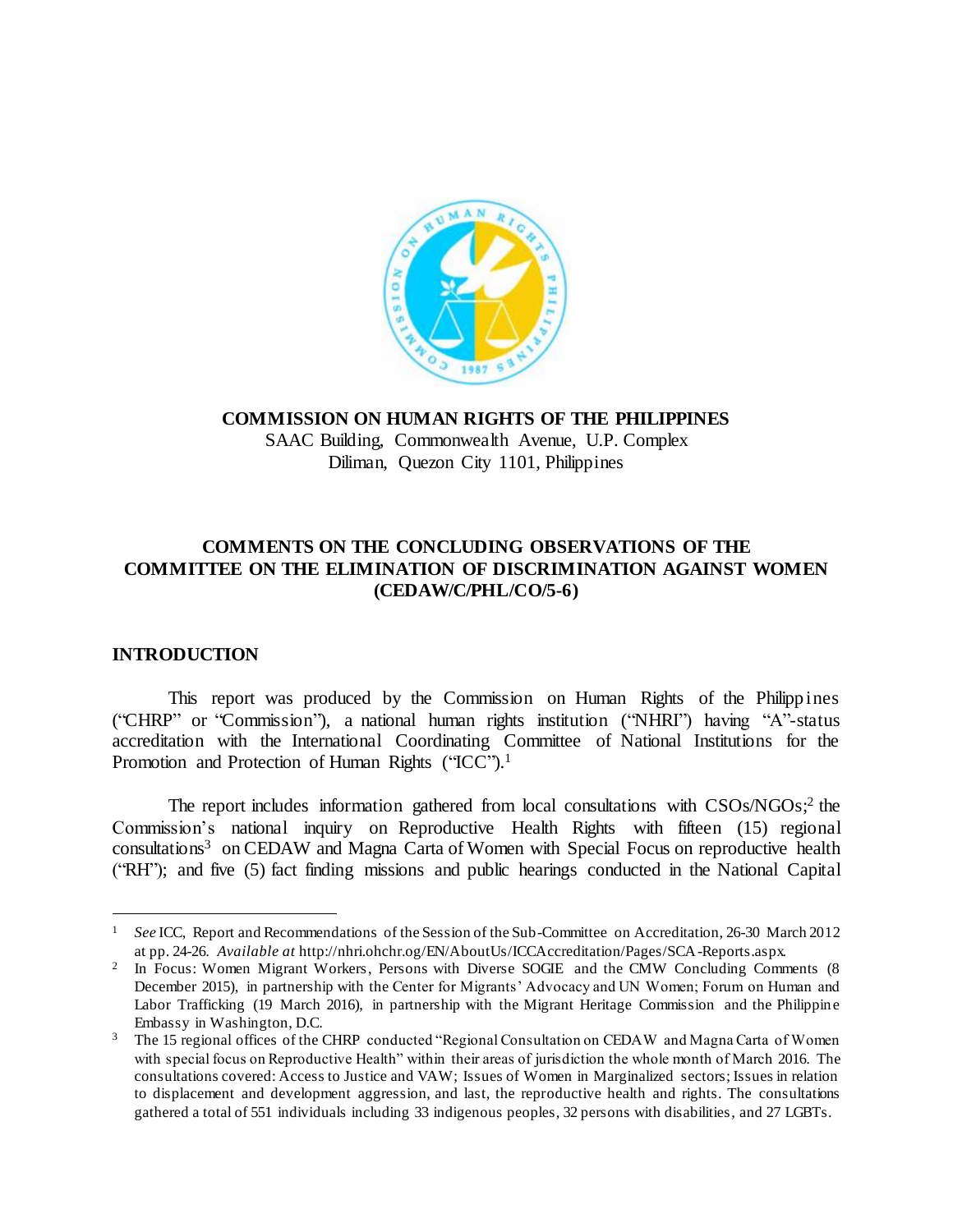

### **COMMISSION ON HUMAN RIGHTS OF THE PHILIPPINES**

SAAC Building, Commonwealth Avenue, U.P. Complex Diliman, Quezon City 1101, Philippines

# **COMMENTS ON THE CONCLUDING OBSERVATIONS OF THE COMMITTEE ON THE ELIMINATION OF DISCRIMINATION AGAINST WOMEN (CEDAW/C/PHL/CO/5-6)**

# **INTRODUCTION**

 $\overline{a}$ 

This report was produced by the Commission on Human Rights of the Philippines ("CHRP" or "Commission"), a national human rights institution ("NHRI") having "A"-status accreditation with the International Coordinating Committee of National Institutions for the Promotion and Protection of Human Rights ("ICC").<sup>1</sup>

The report includes information gathered from local consultations with CSOs/NGOs;<sup>2</sup> the Commission's national inquiry on Reproductive Health Rights with fifteen (15) regional consultations<sup>3</sup> on CEDAW and Magna Carta of Women with Special Focus on reproductive health ("RH"); and five (5) fact finding missions and public hearings conducted in the National Capital

<sup>&</sup>lt;sup>1</sup> *See* ICC, Report and Recommendations of the Session of the Sub-Committee on Accreditation, 26-30 March 2012 at pp. 24-26. *Available at* http://nhri.ohchr.og/EN/AboutUs/ICCAccreditation/Pages/SCA-Reports.aspx.

<sup>2</sup> In Focus: Women Migrant Workers, Persons with Diverse SOGIE and the CMW Concluding Comments (8) December 2015), in partnership with the Center for Migrants' Advocacy and UN Women; Forum on Human and Labor Trafficking (19 March 2016), in partnership with the Migrant Heritage Commission and the Philippine Embassy in Washington, D.C.

<sup>&</sup>lt;sup>3</sup> The 15 regional offices of the CHRP conducted "Regional Consultation on CEDAW and Magna Carta of Women with special focus on Reproductive Health" within their areas of jurisdiction the whole month of March 2016. The consultations covered: Access to Justice and VAW; Issues of Women in Marginalized sectors; Issues in relation to displacement and development aggression, and last, the reproductive health and rights. The consultations gathered a total of 551 individuals including 33 indigenous peoples, 32 persons with disabilities, and 27 LGBTs.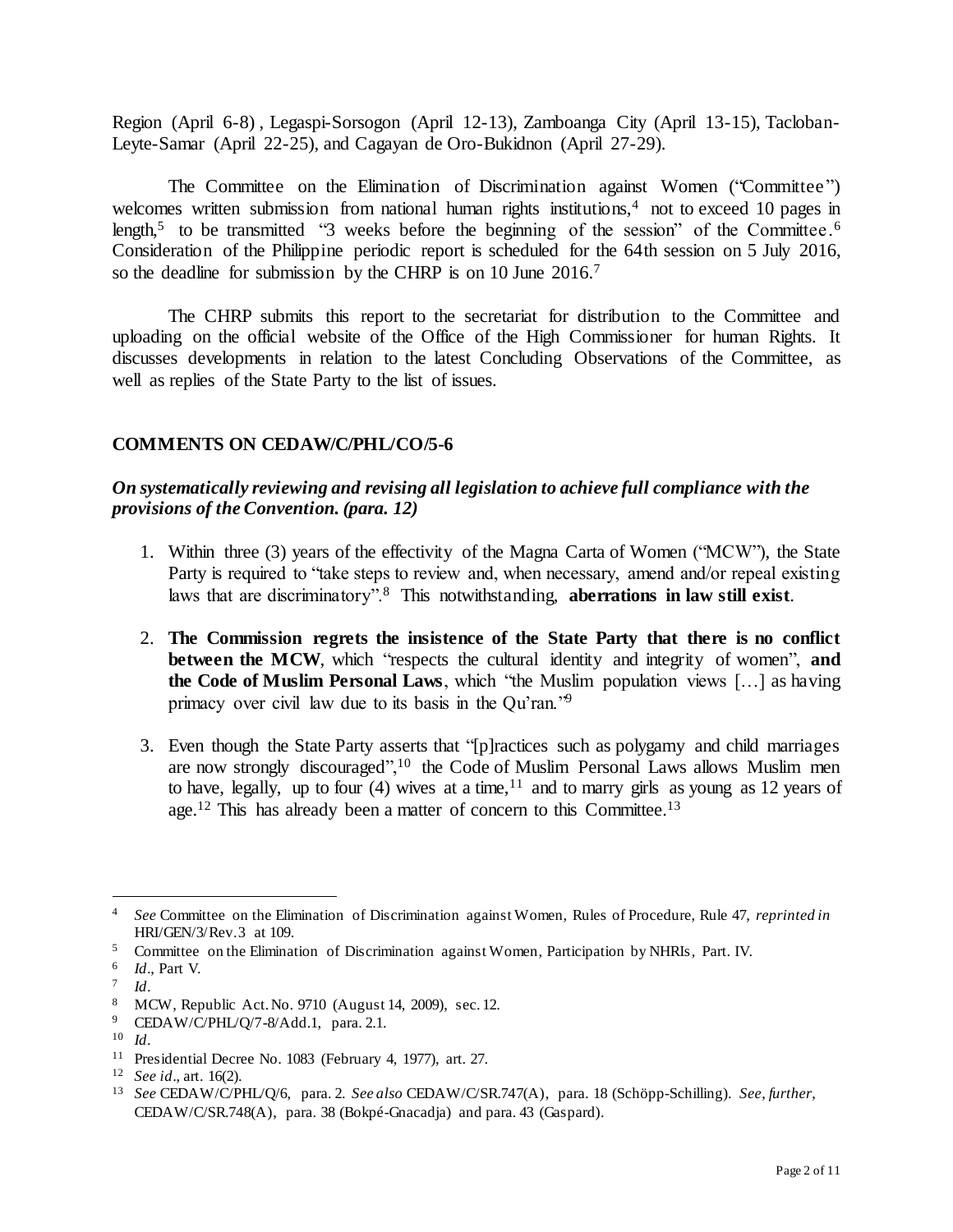Region (April 6-8) , Legaspi-Sorsogon (April 12-13), Zamboanga City (April 13-15), Tacloban-Leyte-Samar (April 22-25), and Cagayan de Oro-Bukidnon (April 27-29).

The Committee on the Elimination of Discrimination against Women ("Committee") welcomes written submission from national human rights institutions,<sup>4</sup> not to exceed 10 pages in length,<sup>5</sup> to be transmitted "3 weeks before the beginning of the session" of the Committee.<sup>6</sup> Consideration of the Philippine periodic report is scheduled for the 64th session on 5 July 2016, so the deadline for submission by the CHRP is on 10 June 2016.<sup>7</sup>

The CHRP submits this report to the secretariat for distribution to the Committee and uploading on the official website of the Office of the High Commissioner for human Rights. It discusses developments in relation to the latest Concluding Observations of the Committee, as well as replies of the State Party to the list of issues.

### **COMMENTS ON CEDAW/C/PHL/CO/5-6**

## *On systematically reviewing and revising all legislation to achieve full compliance with the provisions of the Convention. (para. 12)*

- 1. Within three (3) years of the effectivity of the Magna Carta of Women ("MCW"), the State Party is required to "take steps to review and, when necessary, amend and/or repeal existing laws that are discriminatory".<sup>8</sup> This notwithstanding, **aberrations in law still exist**.
- 2. **The Commission regrets the insistence of the State Party that there is no conflict between the MCW**, which "respects the cultural identity and integrity of women", and **the Code of Muslim Personal Laws**, which "the Muslim population views […] as having primacy over civil law due to its basis in the Qu'ran."<sup>9</sup>
- 3. Even though the State Party asserts that "[p]ractices such as polygamy and child marriages are now strongly discouraged",<sup>10</sup> the Code of Muslim Personal Laws allows Muslim men to have, legally, up to four (4) wives at a time,  $11$  and to marry girls as young as 12 years of age.<sup>12</sup> This has already been a matter of concern to this Committee.<sup>13</sup>

<sup>4</sup> *See* Committee on the Elimination of Discrimination against Women, Rules of Procedure, Rule 47, *reprinted in* HRI/GEN/3/Rev.3 at 109.

<sup>&</sup>lt;sup>5</sup> Committee on the Elimination of Discrimination against Women, Participation by NHRIs, Part. IV.

<sup>6</sup> *Id*., Part V.

<sup>7</sup> *Id*.

<sup>8</sup> MCW, Republic Act. No. 9710 (August 14, 2009), sec. 12.

<sup>9</sup> CEDAW/C/PHL/Q/7-8/Add.1, para. 2.1.

<sup>10</sup> *Id*.

<sup>11</sup> Presidential Decree No. 1083 (February 4, 1977), art. 27.

<sup>12</sup> *See id*., art. 16(2).

<sup>13</sup> *See* CEDAW/C/PHL/Q/6, para. 2. *See also* CEDAW/C/SR.747(A), para. 18 (Schöpp-Schilling). *See*, *further*, CEDAW/C/SR.748(A), para. 38 (Bokpé-Gnacadja) and para. 43 (Gaspard).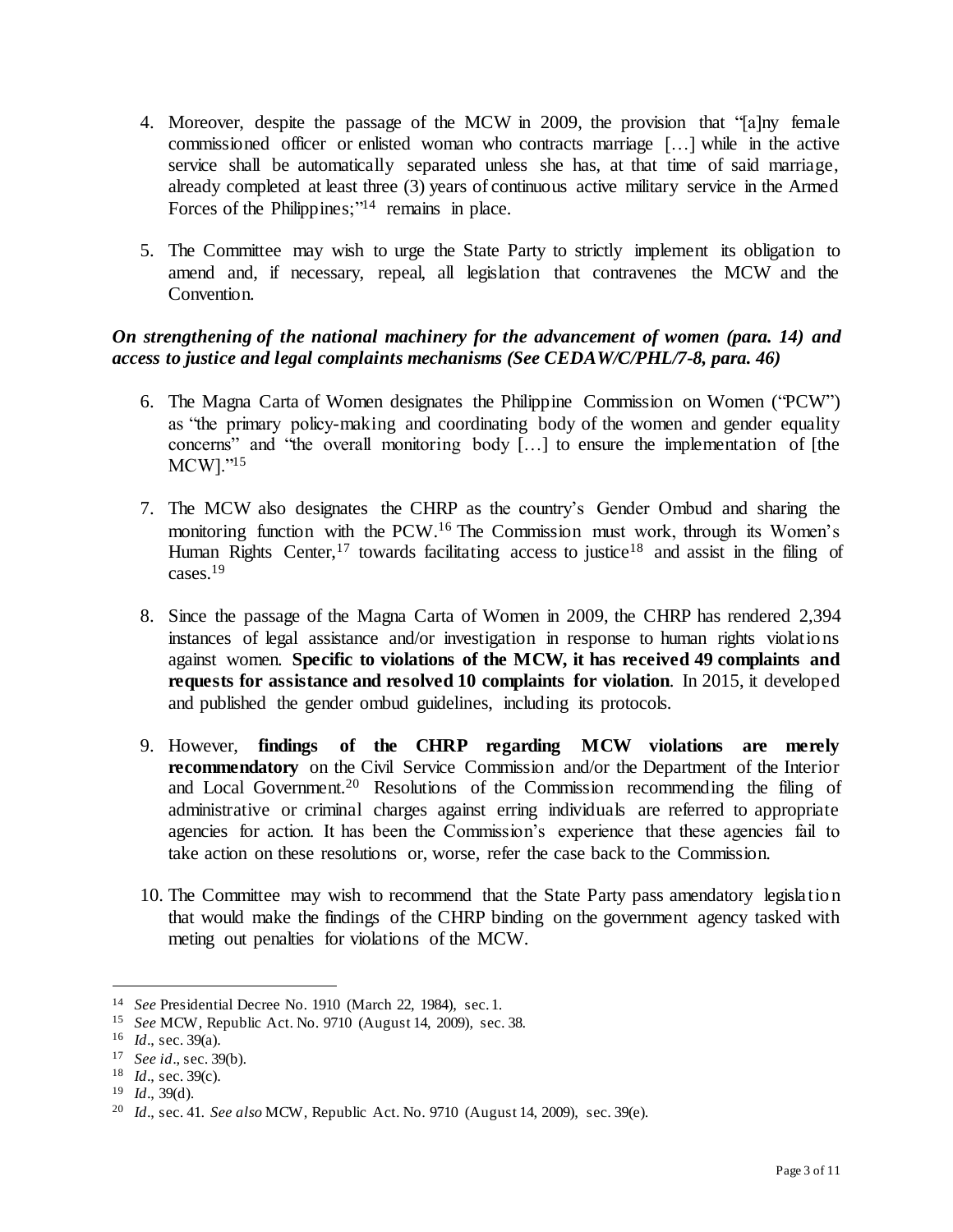- 4. Moreover, despite the passage of the MCW in 2009, the provision that "[a]ny female commissioned officer or enlisted woman who contracts marriage […] while in the active service shall be automatically separated unless she has, at that time of said marriage, already completed at least three (3) years of continuous active military service in the Armed Forces of the Philippines; $1/14$  remains in place.
- 5. The Committee may wish to urge the State Party to strictly implement its obligation to amend and, if necessary, repeal, all legislation that contravenes the MCW and the Convention.

## *On strengthening of the national machinery for the advancement of women (para. 14) and access to justice and legal complaints mechanisms (See CEDAW/C/PHL/7-8, para. 46)*

- 6. The Magna Carta of Women designates the Philippine Commission on Women ("PCW") as "the primary policy-making and coordinating body of the women and gender equality concerns" and "the overall monitoring body […] to ensure the implementation of [the MCW]."<sup>15</sup>
- 7. The MCW also designates the CHRP as the country's Gender Ombud and sharing the monitoring function with the PCW. <sup>16</sup> The Commission must work, through its Women's Human Rights Center,<sup>17</sup> towards facilitating access to justice<sup>18</sup> and assist in the filing of cases.<sup>19</sup>
- 8. Since the passage of the Magna Carta of Women in 2009, the CHRP has rendered 2,394 instances of legal assistance and/or investigation in response to human rights violations against women. **Specific to violations of the MCW, it has received 49 complaints and requests for assistance and resolved 10 complaints for violation**. In 2015, it developed and published the gender ombud guidelines, including its protocols.
- 9. However, **findings of the CHRP regarding MCW violations are merely recommendatory** on the Civil Service Commission and/or the Department of the Interior and Local Government.<sup>20</sup> Resolutions of the Commission recommending the filing of administrative or criminal charges against erring individuals are referred to appropriate agencies for action. It has been the Commission's experience that these agencies fail to take action on these resolutions or, worse, refer the case back to the Commission.
- 10. The Committee may wish to recommend that the State Party pass amendatory legislation that would make the findings of the CHRP binding on the government agency tasked with meting out penalties for violations of the MCW.

<sup>14</sup> *See* Presidential Decree No. 1910 (March 22, 1984), sec. 1.

<sup>15</sup> *See* MCW, Republic Act. No. 9710 (August 14, 2009), sec. 38.

<sup>16</sup> *Id*., sec. 39(a).

<sup>17</sup> *See id*., sec. 39(b).

<sup>18</sup> *Id*., sec. 39(c).

<sup>19</sup> *Id*., 39(d).

<sup>20</sup> *Id*., sec. 41. *See also* MCW, Republic Act. No. 9710 (August 14, 2009), sec. 39(e).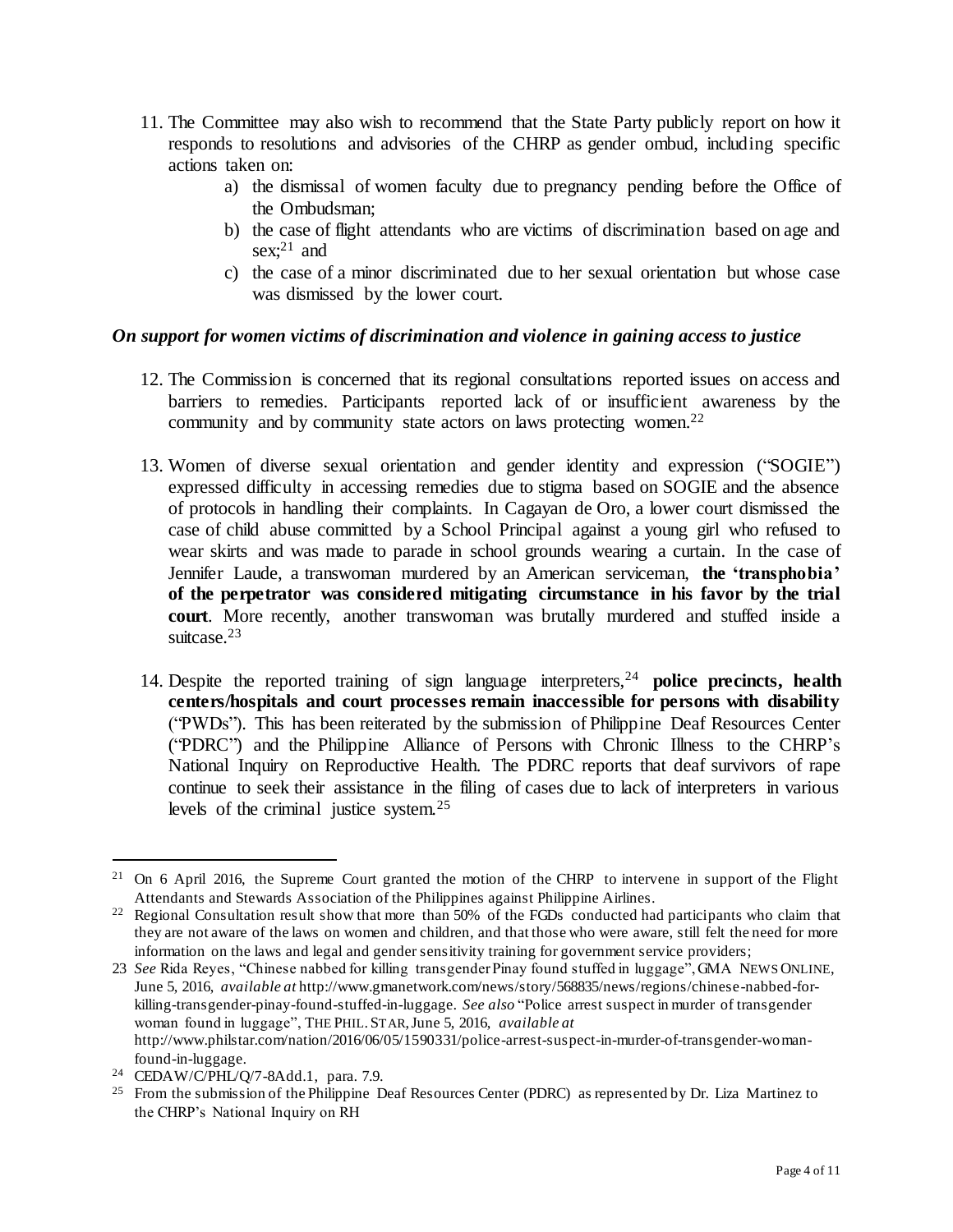- 11. The Committee may also wish to recommend that the State Party publicly report on how it responds to resolutions and advisories of the CHRP as gender ombud, including specific actions taken on:
	- a) the dismissal of women faculty due to pregnancy pending before the Office of the Ombudsman;
	- b) the case of flight attendants who are victims of discrimination based on age and sex; <sup>21</sup> and
	- c) the case of a minor discriminated due to her sexual orientation but whose case was dismissed by the lower court.

## *On support for women victims of discrimination and violence in gaining access to justice*

- 12. The Commission is concerned that its regional consultations reported issues on access and barriers to remedies. Participants reported lack of or insufficient awareness by the community and by community state actors on laws protecting women.<sup>22</sup>
- 13. Women of diverse sexual orientation and gender identity and expression ("SOGIE") expressed difficulty in accessing remedies due to stigma based on SOGIE and the absence of protocols in handling their complaints. In Cagayan de Oro, a lower court dismissed the case of child abuse committed by a School Principal against a young girl who refused to wear skirts and was made to parade in school grounds wearing a curtain. In the case of Jennifer Laude, a transwoman murdered by an American serviceman, **the 'transphobia' of the perpetrator was considered mitigating circumstance in his favor by the trial court**. More recently, another transwoman was brutally murdered and stuffed inside a suitcase.<sup>23</sup>
- 14. Despite the reported training of sign language interpreters,<sup>24</sup> **police precincts, health centers/hospitals and court processes remain inaccessible for persons with disability** ("PWDs"). This has been reiterated by the submission of Philippine Deaf Resources Center ("PDRC") and the Philippine Alliance of Persons with Chronic Illness to the CHRP's National Inquiry on Reproductive Health. The PDRC reports that deaf survivors of rape continue to seek their assistance in the filing of cases due to lack of interpreters in various levels of the criminal justice system.<sup>25</sup>

<sup>&</sup>lt;sup>21</sup> On 6 April 2016, the Supreme Court granted the motion of the CHRP to intervene in support of the Flight Attendants and Stewards Association of the Philippines against Philippine Airlines.

<sup>&</sup>lt;sup>22</sup> Regional Consultation result show that more than 50% of the FGDs conducted had participants who claim that they are not aware of the laws on women and children, and that those who were aware, still felt the need for more information on the laws and legal and gender sensitivity training for government service providers;

<sup>23</sup> *See* Rida Reyes, "Chinese nabbed for killing transgender Pinay found stuffed in luggage", GMA NEWS ONLINE, June 5, 2016, *available at* http://www.gmanetwork.com/news/story/568835/news/regions/chinese-nabbed-forkilling-transgender-pinay-found-stuffed-in-luggage. *See also* "Police arrest suspect in murder of transgender woman found in luggage", THE PHIL.STAR, June 5, 2016, *available at* http://www.philstar.com/nation/2016/06/05/1590331/police-arrest-suspect-in-murder-of-transgender-womanfound-in-luggage.

<sup>24</sup> CEDAW/C/PHL/Q/7-8Add.1, para. 7.9.

<sup>&</sup>lt;sup>25</sup> From the submission of the Philippine Deaf Resources Center (PDRC) as represented by Dr. Liza Martinez to the CHRP's National Inquiry on RH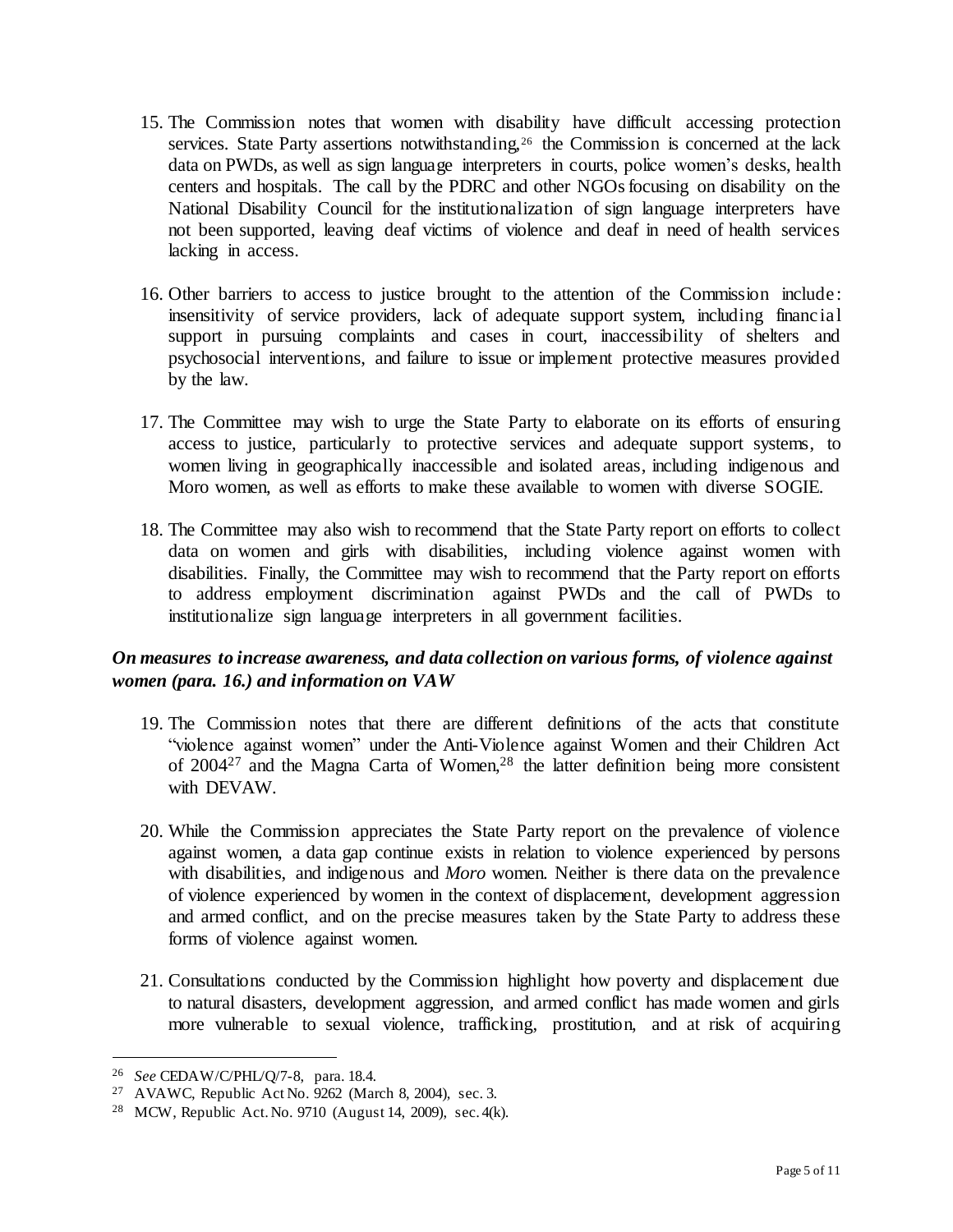- 15. The Commission notes that women with disability have difficult accessing protection services. State Party assertions notwithstanding,<sup>26</sup> the Commission is concerned at the lack data on PWDs, as well as sign language interpreters in courts, police women's desks, health centers and hospitals. The call by the PDRC and other NGOs focusing on disability on the National Disability Council for the institutionalization of sign language interpreters have not been supported, leaving deaf victims of violence and deaf in need of health services lacking in access.
- 16. Other barriers to access to justice brought to the attention of the Commission include: insensitivity of service providers, lack of adequate support system, including financial support in pursuing complaints and cases in court, inaccessibility of shelters and psychosocial interventions, and failure to issue or implement protective measures provided by the law.
- 17. The Committee may wish to urge the State Party to elaborate on its efforts of ensuring access to justice, particularly to protective services and adequate support systems, to women living in geographically inaccessible and isolated areas, including indigenous and Moro women, as well as efforts to make these available to women with diverse SOGIE.
- 18. The Committee may also wish to recommend that the State Party report on efforts to collect data on women and girls with disabilities, including violence against women with disabilities. Finally, the Committee may wish to recommend that the Party report on efforts to address employment discrimination against PWDs and the call of PWDs to institutionalize sign language interpreters in all government facilities.

## *On measures to increase awareness, and data collection on various forms, of violence against women (para. 16.) and information on VAW*

- 19. The Commission notes that there are different definitions of the acts that constitute "violence against women" under the Anti-Violence against Women and their Children Act of 2004<sup>27</sup> and the Magna Carta of Women,<sup>28</sup> the latter definition being more consistent with DEVAW.
- 20. While the Commission appreciates the State Party report on the prevalence of violence against women, a data gap continue exists in relation to violence experienced by persons with disabilities, and indigenous and *Moro* women. Neither is there data on the prevalence of violence experienced by women in the context of displacement, development aggression and armed conflict, and on the precise measures taken by the State Party to address these forms of violence against women.
- 21. Consultations conducted by the Commission highlight how poverty and displacement due to natural disasters, development aggression, and armed conflict has made women and girls more vulnerable to sexual violence, trafficking, prostitution, and at risk of acquiring

<sup>26</sup> *See* CEDAW/C/PHL/Q/7-8, para. 18.4.

<sup>27</sup> AVAWC, Republic Act No. 9262 (March 8, 2004), sec. 3.

<sup>28</sup> MCW, Republic Act. No. 9710 (August 14, 2009), sec. 4(k).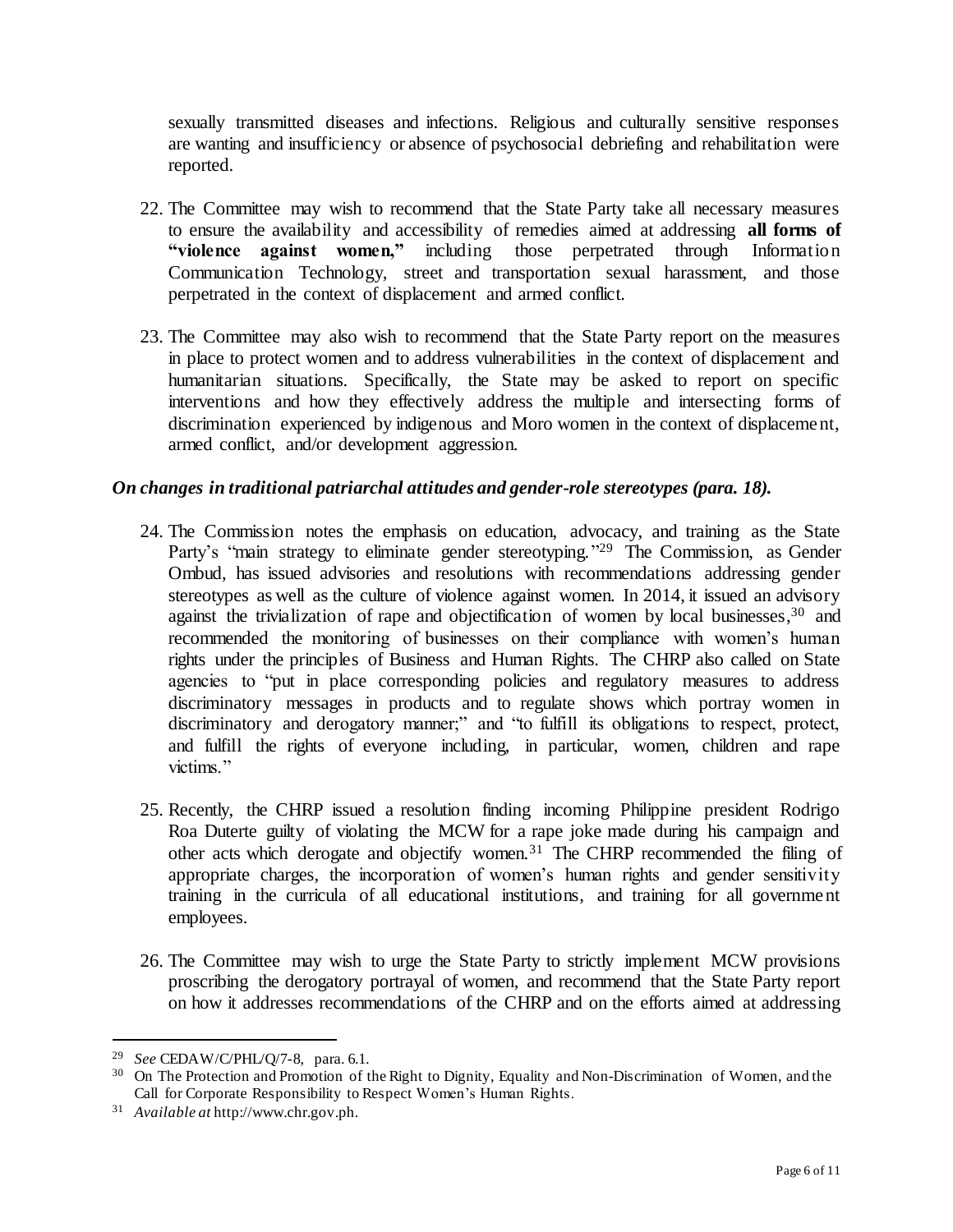sexually transmitted diseases and infections. Religious and culturally sensitive responses are wanting and insufficiency or absence of psychosocial debriefing and rehabilitation were reported.

- 22. The Committee may wish to recommend that the State Party take all necessary measures to ensure the availability and accessibility of remedies aimed at addressing **all forms of "violence against women,"** including those perpetrated through Information Communication Technology, street and transportation sexual harassment, and those perpetrated in the context of displacement and armed conflict.
- 23. The Committee may also wish to recommend that the State Party report on the measures in place to protect women and to address vulnerabilities in the context of displacement and humanitarian situations. Specifically, the State may be asked to report on specific interventions and how they effectively address the multiple and intersecting forms of discrimination experienced by indigenous and Moro women in the context of displacement, armed conflict, and/or development aggression.

### *On changes in traditional patriarchal attitudes and gender-role stereotypes (para. 18).*

- 24. The Commission notes the emphasis on education, advocacy, and training as the State Party's "main strategy to eliminate gender stereotyping."<sup>29</sup> The Commission, as Gender Ombud, has issued advisories and resolutions with recommendations addressing gender stereotypes as well as the culture of violence against women. In 2014, it issued an advisory against the trivialization of rape and objectification of women by local businesses,<sup>30</sup> and recommended the monitoring of businesses on their compliance with women's human rights under the principles of Business and Human Rights. The CHRP also called on State agencies to "put in place corresponding policies and regulatory measures to address discriminatory messages in products and to regulate shows which portray women in discriminatory and derogatory manner;" and "to fulfill its obligations to respect, protect, and fulfill the rights of everyone including, in particular, women, children and rape victims."
- 25. Recently, the CHRP issued a resolution finding incoming Philippine president Rodrigo Roa Duterte guilty of violating the MCW for a rape joke made during his campaign and other acts which derogate and objectify women.<sup>31</sup> The CHRP recommended the filing of appropriate charges, the incorporation of women's human rights and gender sensitivity training in the curricula of all educational institutions, and training for all government employees.
- 26. The Committee may wish to urge the State Party to strictly implement MCW provisions proscribing the derogatory portrayal of women, and recommend that the State Party report on how it addresses recommendations of the CHRP and on the efforts aimed at addressing

<sup>29</sup> *See* CEDAW/C/PHL/Q/7-8, para. 6.1.

<sup>&</sup>lt;sup>30</sup> On The Protection and Promotion of the Right to Dignity, Equality and Non-Discrimination of Women, and the Call for Corporate Responsibility to Respect Women's Human Rights.

<sup>31</sup> *Available at* http://www.chr.gov.ph.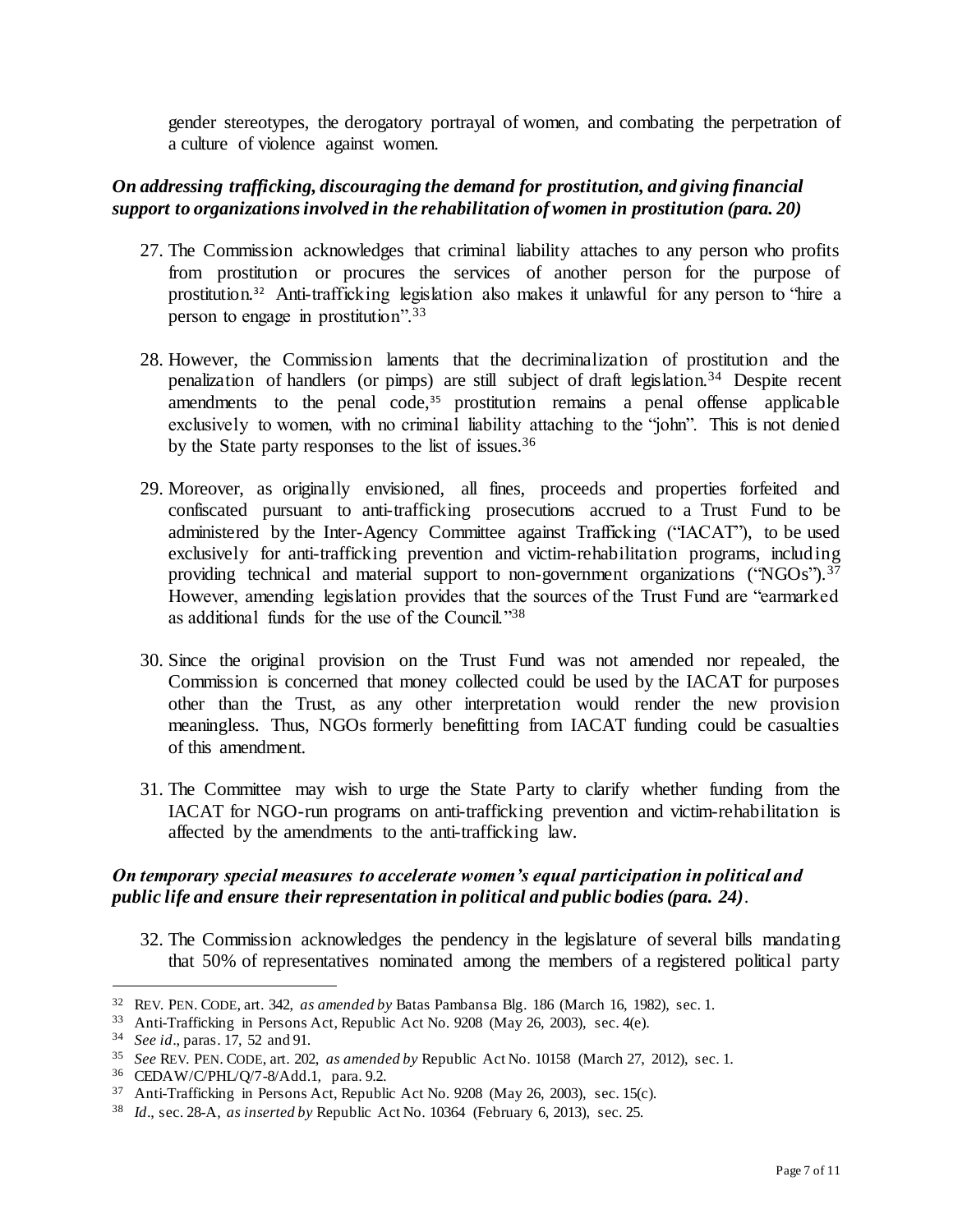gender stereotypes, the derogatory portrayal of women, and combating the perpetration of a culture of violence against women.

## *On addressing trafficking, discouraging the demand for prostitution, and giving financial support to organizations involved in the rehabilitation of women in prostitution (para. 20)*

- 27. The Commission acknowledges that criminal liability attaches to any person who profits from prostitution or procures the services of another person for the purpose of prostitution.<sup>32</sup> Anti-trafficking legislation also makes it unlawful for any person to "hire a person to engage in prostitution".<sup>33</sup>
- 28. However, the Commission laments that the decriminalization of prostitution and the penalization of handlers (or pimps) are still subject of draft legislation.<sup>34</sup> Despite recent amendments to the penal code, $35$  prostitution remains a penal offense applicable exclusively to women, with no criminal liability attaching to the "john". This is not denied by the State party responses to the list of issues.<sup>36</sup>
- 29. Moreover, as originally envisioned, all fines, proceeds and properties forfeited and confiscated pursuant to anti-trafficking prosecutions accrued to a Trust Fund to be administered by the Inter-Agency Committee against Trafficking ("IACAT"), to be used exclusively for anti-trafficking prevention and victim-rehabilitation programs, including providing technical and material support to non-government organizations ("NGOs").<sup>37</sup> However, amending legislation provides that the sources of the Trust Fund are "earmarked as additional funds for the use of the Council."<sup>38</sup>
- 30. Since the original provision on the Trust Fund was not amended nor repealed, the Commission is concerned that money collected could be used by the IACAT for purposes other than the Trust, as any other interpretation would render the new provision meaningless. Thus, NGOs formerly benefitting from IACAT funding could be casualties of this amendment.
- 31. The Committee may wish to urge the State Party to clarify whether funding from the IACAT for NGO-run programs on anti-trafficking prevention and victim-rehabilitation is affected by the amendments to the anti-trafficking law.

## *On temporary special measures to accelerate women's equal participation in political and public life and ensure their representation in political and public bodies (para. 24)*.

32. The Commission acknowledges the pendency in the legislature of several bills mandating that 50% of representatives nominated among the members of a registered political party

<sup>32</sup> REV. PEN. CODE, art. 342, *as amended by* Batas Pambansa Blg. 186 (March 16, 1982), sec. 1.

<sup>33</sup> Anti-Trafficking in Persons Act, Republic Act No. 9208 (May 26, 2003), sec. 4(e).

<sup>34</sup> *See id*., paras. 17, 52 and 91.

<sup>35</sup> *See* REV. PEN. CODE, art. 202, *as amended by* Republic Act No. 10158 (March 27, 2012), sec. 1.

<sup>36</sup> CEDAW/C/PHL/Q/7-8/Add.1, para. 9.2.

<sup>37</sup> Anti-Trafficking in Persons Act, Republic Act No. 9208 (May 26, 2003), sec. 15(c).

<sup>38</sup> *Id*., sec. 28-A, *as inserted by* Republic Act No. 10364 (February 6, 2013), sec. 25.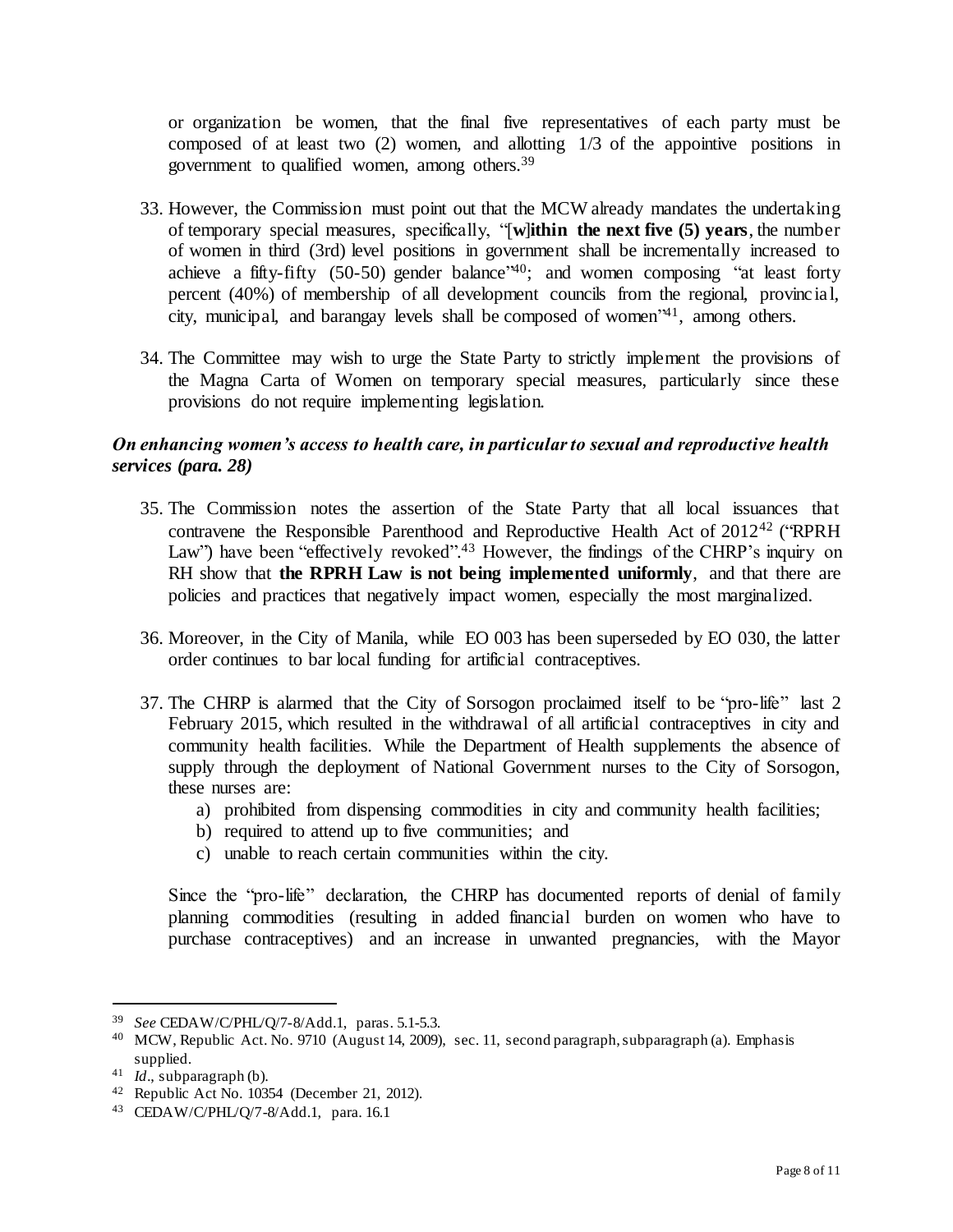or organization be women, that the final five representatives of each party must be composed of at least two (2) women, and allotting 1/3 of the appointive positions in government to qualified women, among others.<sup>39</sup>

- 33. However, the Commission must point out that the MCW already mandates the undertaking of temporary special measures, specifically, "[**w**]**ithin the next five (5) years**, the number of women in third (3rd) level positions in government shall be incrementally increased to achieve a fifty-fifty (50-50) gender balance<sup>'40</sup>; and women composing "at least forty percent (40%) of membership of all development councils from the regional, provincial, city, municipal, and barangay levels shall be composed of women<sup>241</sup>, among others.
- 34. The Committee may wish to urge the State Party to strictly implement the provisions of the Magna Carta of Women on temporary special measures, particularly since these provisions do not require implementing legislation.

## *On enhancing women's access to health care, in particular to sexual and reproductive health services (para. 28)*

- 35. The Commission notes the assertion of the State Party that all local issuances that contravene the Responsible Parenthood and Reproductive Health Act of  $2012^{42}$  ("RPRH Law") have been "effectively revoked".<sup>43</sup> However, the findings of the CHRP's inquiry on RH show that **the RPRH Law is not being implemented uniformly**, and that there are policies and practices that negatively impact women, especially the most marginalized.
- 36. Moreover, in the City of Manila, while EO 003 has been superseded by EO 030, the latter order continues to bar local funding for artificial contraceptives.
- 37. The CHRP is alarmed that the City of Sorsogon proclaimed itself to be "pro-life" last 2 February 2015, which resulted in the withdrawal of all artificial contraceptives in city and community health facilities. While the Department of Health supplements the absence of supply through the deployment of National Government nurses to the City of Sorsogon, these nurses are:
	- a) prohibited from dispensing commodities in city and community health facilities;
	- b) required to attend up to five communities; and
	- c) unable to reach certain communities within the city.

Since the "pro-life" declaration, the CHRP has documented reports of denial of family planning commodities (resulting in added financial burden on women who have to purchase contraceptives) and an increase in unwanted pregnancies, with the Mayor

<sup>39</sup> *See* CEDAW/C/PHL/Q/7-8/Add.1, paras. 5.1-5.3.

<sup>40</sup> MCW, Republic Act. No. 9710 (August 14, 2009), sec. 11, second paragraph, subparagraph (a). Emphasis supplied.

<sup>41</sup> *Id*., subparagraph (b).

<sup>42</sup> Republic Act No. 10354 (December 21, 2012).

<sup>43</sup> CEDAW/C/PHL/Q/7-8/Add.1, para. 16.1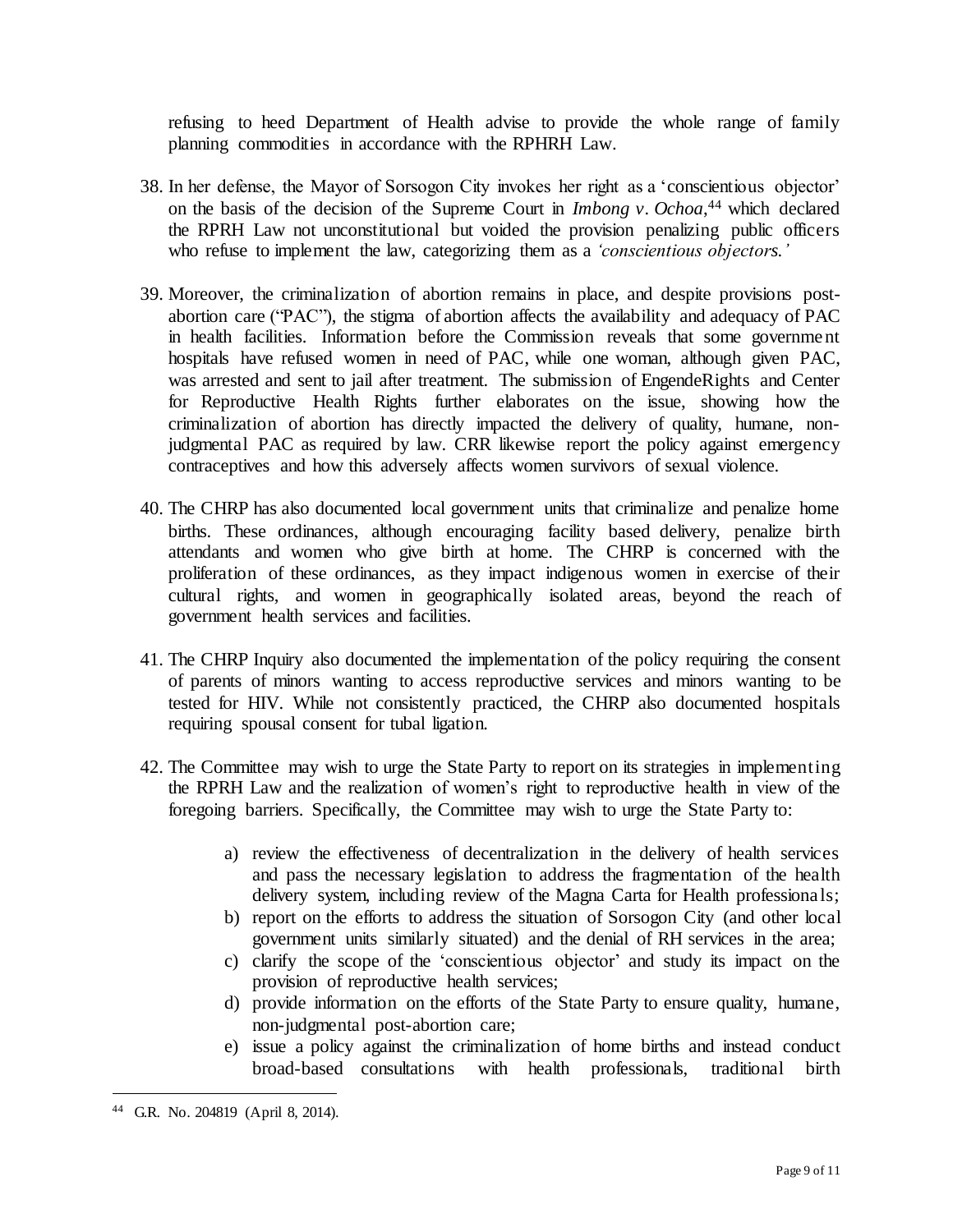refusing to heed Department of Health advise to provide the whole range of family planning commodities in accordance with the RPHRH Law.

- 38. In her defense, the Mayor of Sorsogon City invokes her right as a 'conscientious objector' on the basis of the decision of the Supreme Court in *Imbong v. Ochoa*, <sup>44</sup> which declared the RPRH Law not unconstitutional but voided the provision penalizing public officers who refuse to implement the law, categorizing them as a *'conscientious objectors.'*
- 39. Moreover, the criminalization of abortion remains in place, and despite provisions postabortion care ("PAC"), the stigma of abortion affects the availability and adequacy of PAC in health facilities. Information before the Commission reveals that some government hospitals have refused women in need of PAC, while one woman, although given PAC, was arrested and sent to jail after treatment. The submission of EngendeRights and Center for Reproductive Health Rights further elaborates on the issue, showing how the criminalization of abortion has directly impacted the delivery of quality, humane, nonjudgmental PAC as required by law. CRR likewise report the policy against emergency contraceptives and how this adversely affects women survivors of sexual violence.
- 40. The CHRP has also documented local government units that criminalize and penalize home births. These ordinances, although encouraging facility based delivery, penalize birth attendants and women who give birth at home. The CHRP is concerned with the proliferation of these ordinances, as they impact indigenous women in exercise of their cultural rights, and women in geographically isolated areas, beyond the reach of government health services and facilities.
- 41. The CHRP Inquiry also documented the implementation of the policy requiring the consent of parents of minors wanting to access reproductive services and minors wanting to be tested for HIV. While not consistently practiced, the CHRP also documented hospitals requiring spousal consent for tubal ligation.
- 42. The Committee may wish to urge the State Party to report on its strategies in implementing the RPRH Law and the realization of women's right to reproductive health in view of the foregoing barriers. Specifically, the Committee may wish to urge the State Party to:
	- a) review the effectiveness of decentralization in the delivery of health services and pass the necessary legislation to address the fragmentation of the health delivery system, including review of the Magna Carta for Health professionals;
	- b) report on the efforts to address the situation of Sorsogon City (and other local government units similarly situated) and the denial of RH services in the area;
	- c) clarify the scope of the 'conscientious objector' and study its impact on the provision of reproductive health services;
	- d) provide information on the efforts of the State Party to ensure quality, humane, non-judgmental post-abortion care;
	- e) issue a policy against the criminalization of home births and instead conduct broad-based consultations with health professionals, traditional birth

l

<sup>44</sup> G.R. No. 204819 (April 8, 2014).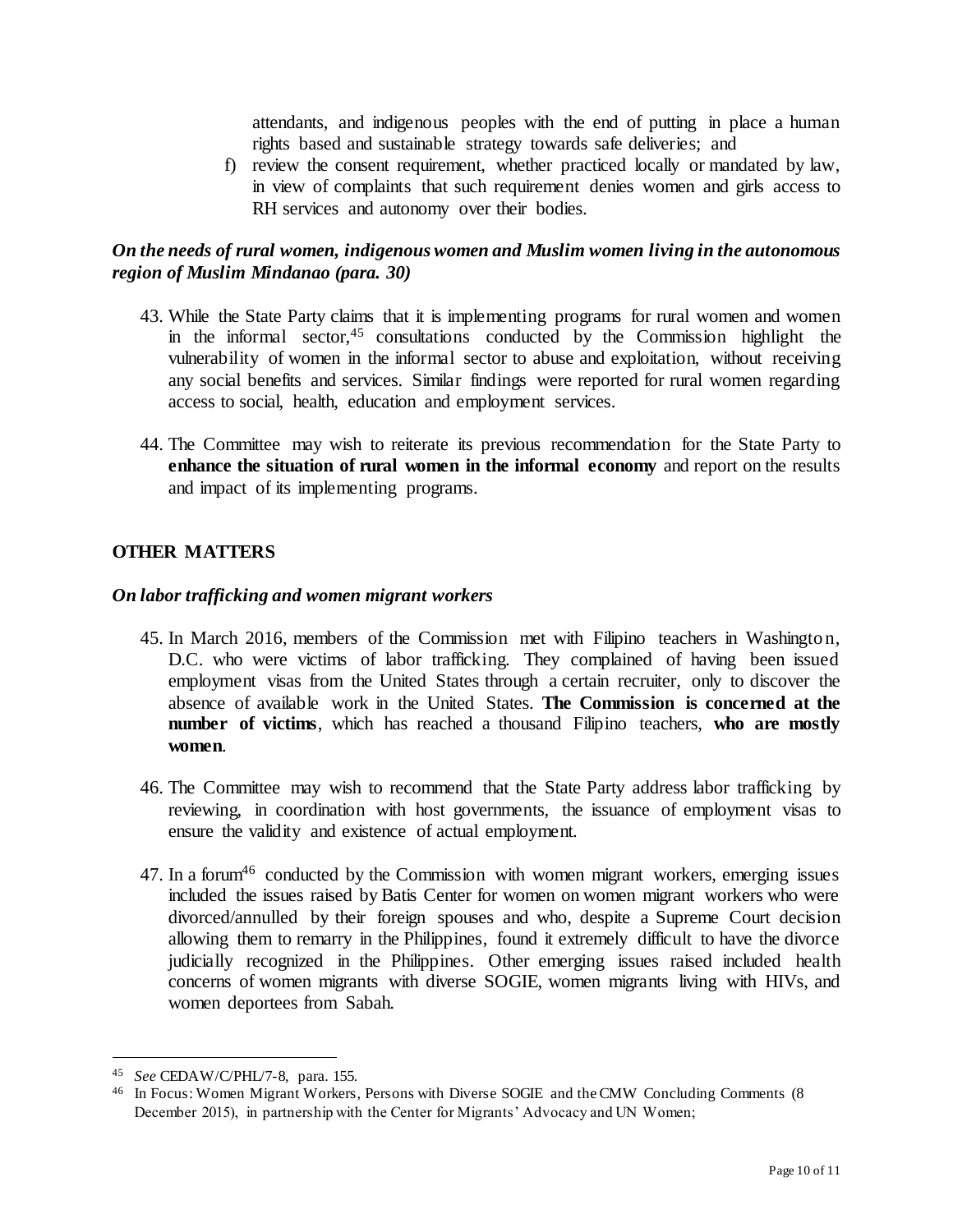attendants, and indigenous peoples with the end of putting in place a human rights based and sustainable strategy towards safe deliveries; and

f) review the consent requirement, whether practiced locally or mandated by law, in view of complaints that such requirement denies women and girls access to RH services and autonomy over their bodies.

## *On the needs of rural women, indigenous women and Muslim women living in the autonomous region of Muslim Mindanao (para. 30)*

- 43. While the State Party claims that it is implementing programs for rural women and women in the informal sector,  $45$  consultations conducted by the Commission highlight the vulnerability of women in the informal sector to abuse and exploitation, without receiving any social benefits and services. Similar findings were reported for rural women regarding access to social, health, education and employment services.
- 44. The Committee may wish to reiterate its previous recommendation for the State Party to **enhance the situation of rural women in the informal economy** and report on the results and impact of its implementing programs.

## **OTHER MATTERS**

### *On labor trafficking and women migrant workers*

- 45. In March 2016, members of the Commission met with Filipino teachers in Washington, D.C. who were victims of labor trafficking. They complained of having been issued employment visas from the United States through a certain recruiter, only to discover the absence of available work in the United States. **The Commission is concerned at the number of victims**, which has reached a thousand Filipino teachers, **who are mostly women**.
- 46. The Committee may wish to recommend that the State Party address labor trafficking by reviewing, in coordination with host governments, the issuance of employment visas to ensure the validity and existence of actual employment.
- 47. In a forum<sup>46</sup> conducted by the Commission with women migrant workers, emerging issues included the issues raised by Batis Center for women on women migrant workers who were divorced/annulled by their foreign spouses and who, despite a Supreme Court decision allowing them to remarry in the Philippines, found it extremely difficult to have the divorce judicially recognized in the Philippines. Other emerging issues raised included health concerns of women migrants with diverse SOGIE, women migrants living with HIVs, and women deportees from Sabah.

<sup>45</sup> *See* CEDAW/C/PHL/7-8, para. 155.

<sup>46</sup> In Focus: Women Migrant Workers, Persons with Diverse SOGIE and the CMW Concluding Comments (8 December 2015), in partnership with the Center for Migrants' Advocacy and UN Women;